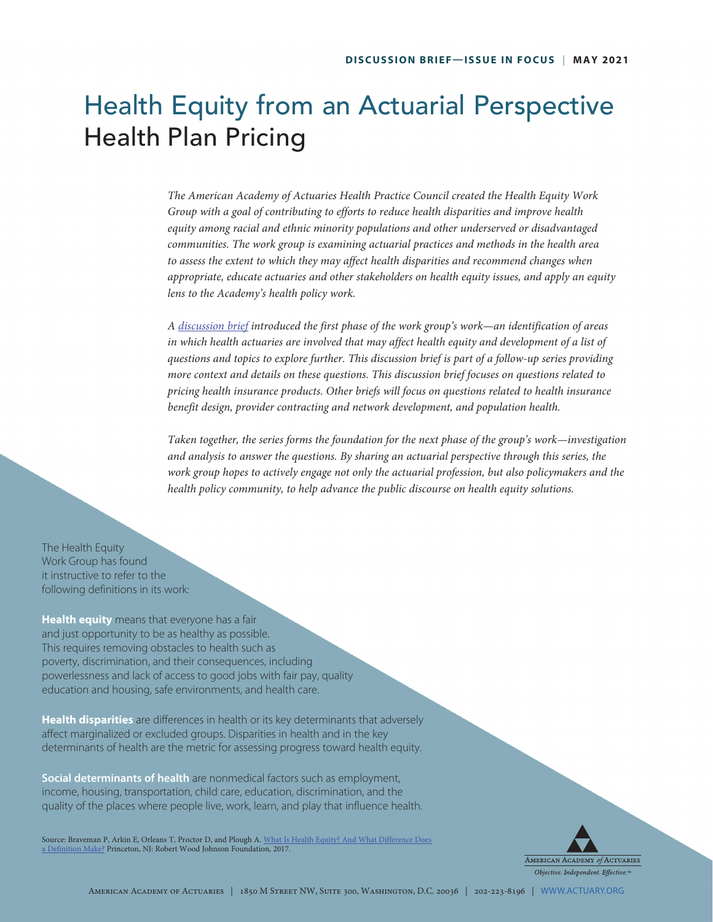# Health Equity from an Actuarial Perspective Health Plan Pricing

*The American Academy of Actuaries Health Practice Council created the Health Equity Work Group with a goal of contributing to efforts to reduce health disparities and improve health equity among racial and ethnic minority populations and other underserved or disadvantaged communities. The work group is examining actuarial practices and methods in the health area*  to assess the extent to which they may affect health disparities and recommend changes when *appropriate, educate actuaries and other stakeholders on health equity issues, and apply an equity lens to the Academy's health policy work.* 

*A [discussion brief](https://www.actuary.org/sites/default/files/2021-03/Health_Equity_Discussion_Brief_3.21.pdf) introduced the first phase of the work group's work—an identification of areas*  in which health actuaries are involved that may affect health equity and development of a list of *questions and topics to explore further. This discussion brief is part of a follow-up series providing more context and details on these questions. This discussion brief focuses on questions related to pricing health insurance products. Other briefs will focus on questions related to health insurance benefit design, provider contracting and network development, and population health.*

*Taken together, the series forms the foundation for the next phase of the group's work—investigation and analysis to answer the questions. By sharing an actuarial perspective through this series, the work group hopes to actively engage not only the actuarial profession, but also policymakers and the health policy community, to help advance the public discourse on health equity solutions.* 

The Health Equity Work Group has found it instructive to refer to the following definitions in its work:

**Health equity** means that everyone has a fair and just opportunity to be as healthy as possible. This requires removing obstacles to health such as poverty, discrimination, and their consequences, including powerlessness and lack of access to good jobs with fair pay, quality education and housing, safe environments, and health care.

**Health disparities** are differences in health or its key determinants that adversely affect marginalized or excluded groups. Disparities in health and in the key determinants of health are the metric for assessing progress toward health equity.

**Social determinants of health** are nonmedical factors such as employment, income, housing, transportation, child care, education, discrimination, and the quality of the places where people live, work, learn, and play that influence health.

Source: Braveman P, Arkin E, Orleans T, Proctor D, and Plough A. What Is Health Equity? And What Difference Does [a Definition Make?](https://www.rwjf.org/en/library/research/2017/05/what-is-health-equity-.html) Princeton, NJ: Robert Wood Johnson Foundation, 2017.

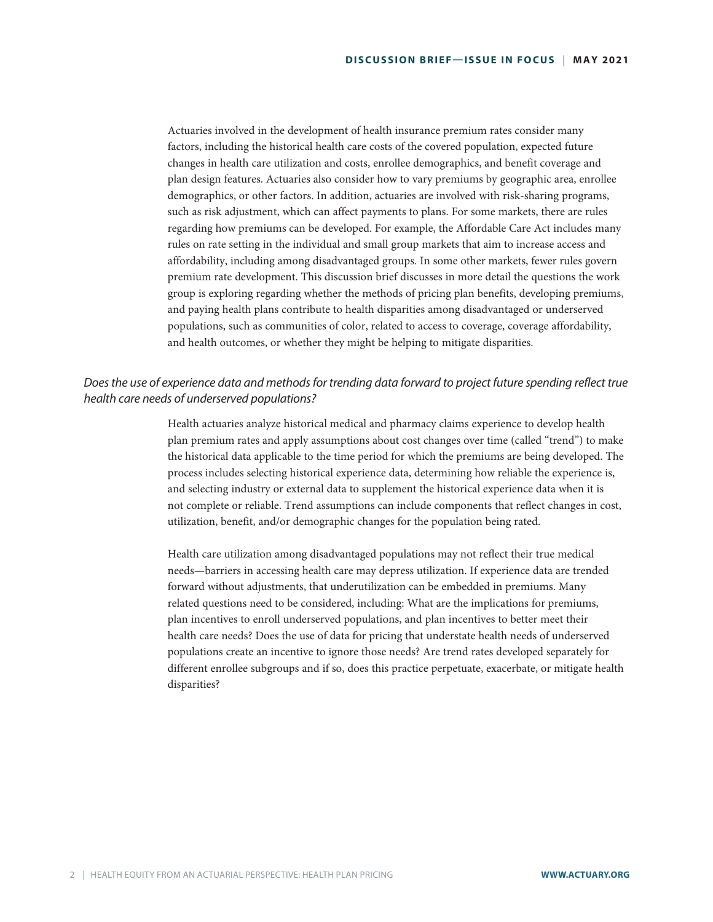Actuaries involved in the development of health insurance premium rates consider many factors, including the historical health care costs of the covered population, expected future changes in health care utilization and costs, enrollee demographics, and benefit coverage and plan design features. Actuaries also consider how to vary premiums by geographic area, enrollee demographics, or other factors. In addition, actuaries are involved with risk-sharing programs, such as risk adjustment, which can affect payments to plans. For some markets, there are rules regarding how premiums can be developed. For example, the Affordable Care Act includes many rules on rate setting in the individual and small group markets that aim to increase access and affordability, including among disadvantaged groups. In some other markets, fewer rules govern premium rate development. This discussion brief discusses in more detail the questions the work group is exploring regarding whether the methods of pricing plan benefits, developing premiums, and paying health plans contribute to health disparities among disadvantaged or underserved populations, such as communities of color, related to access to coverage, coverage affordability, and health outcomes, or whether they might be helping to mitigate disparities.

## *Does the use of experience data and methods for trending data forward to project future spending reflect true health care needs of underserved populations?*

Health actuaries analyze historical medical and pharmacy claims experience to develop health plan premium rates and apply assumptions about cost changes over time (called "trend") to make the historical data applicable to the time period for which the premiums are being developed. The process includes selecting historical experience data, determining how reliable the experience is, and selecting industry or external data to supplement the historical experience data when it is not complete or reliable. Trend assumptions can include components that reflect changes in cost, utilization, benefit, and/or demographic changes for the population being rated.

Health care utilization among disadvantaged populations may not reflect their true medical needs—barriers in accessing health care may depress utilization. If experience data are trended forward without adjustments, that underutilization can be embedded in premiums. Many related questions need to be considered, including: What are the implications for premiums, plan incentives to enroll underserved populations, and plan incentives to better meet their health care needs? Does the use of data for pricing that understate health needs of underserved populations create an incentive to ignore those needs? Are trend rates developed separately for different enrollee subgroups and if so, does this practice perpetuate, exacerbate, or mitigate health disparities?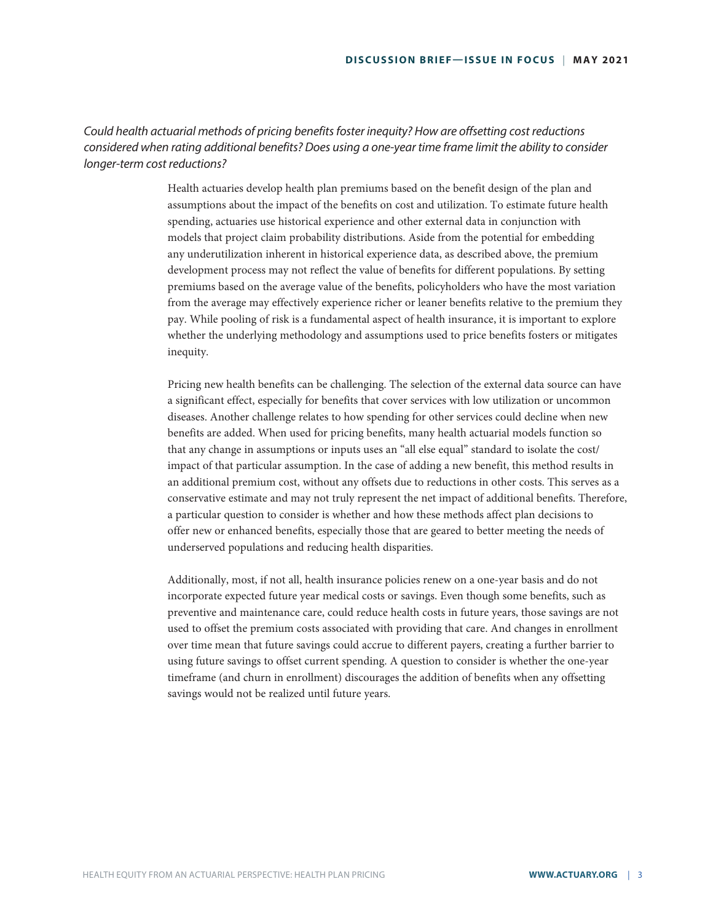#### *Could health actuarial methods of pricing benefits foster inequity? How are offsetting cost reductions considered when rating additional benefits? Does using a one-year time frame limit the ability to consider longer-term cost reductions?*

Health actuaries develop health plan premiums based on the benefit design of the plan and assumptions about the impact of the benefits on cost and utilization. To estimate future health spending, actuaries use historical experience and other external data in conjunction with models that project claim probability distributions. Aside from the potential for embedding any underutilization inherent in historical experience data, as described above, the premium development process may not reflect the value of benefits for different populations. By setting premiums based on the average value of the benefits, policyholders who have the most variation from the average may effectively experience richer or leaner benefits relative to the premium they pay. While pooling of risk is a fundamental aspect of health insurance, it is important to explore whether the underlying methodology and assumptions used to price benefits fosters or mitigates inequity.

Pricing new health benefits can be challenging. The selection of the external data source can have a significant effect, especially for benefits that cover services with low utilization or uncommon diseases. Another challenge relates to how spending for other services could decline when new benefits are added. When used for pricing benefits, many health actuarial models function so that any change in assumptions or inputs uses an "all else equal" standard to isolate the cost/ impact of that particular assumption. In the case of adding a new benefit, this method results in an additional premium cost, without any offsets due to reductions in other costs. This serves as a conservative estimate and may not truly represent the net impact of additional benefits. Therefore, a particular question to consider is whether and how these methods affect plan decisions to offer new or enhanced benefits, especially those that are geared to better meeting the needs of underserved populations and reducing health disparities.

Additionally, most, if not all, health insurance policies renew on a one-year basis and do not incorporate expected future year medical costs or savings. Even though some benefits, such as preventive and maintenance care, could reduce health costs in future years, those savings are not used to offset the premium costs associated with providing that care. And changes in enrollment over time mean that future savings could accrue to different payers, creating a further barrier to using future savings to offset current spending. A question to consider is whether the one-year timeframe (and churn in enrollment) discourages the addition of benefits when any offsetting savings would not be realized until future years.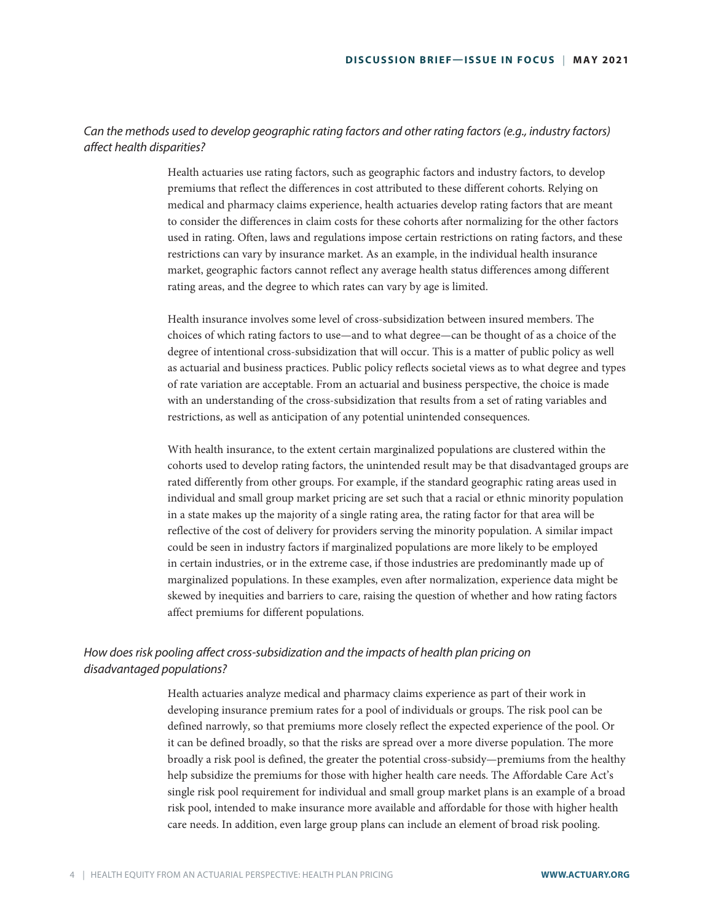#### *Can the methods used to develop geographic rating factors and other rating factors (e.g., industry factors) affect health disparities?*

Health actuaries use rating factors, such as geographic factors and industry factors, to develop premiums that reflect the differences in cost attributed to these different cohorts. Relying on medical and pharmacy claims experience, health actuaries develop rating factors that are meant to consider the differences in claim costs for these cohorts after normalizing for the other factors used in rating. Often, laws and regulations impose certain restrictions on rating factors, and these restrictions can vary by insurance market. As an example, in the individual health insurance market, geographic factors cannot reflect any average health status differences among different rating areas, and the degree to which rates can vary by age is limited.

Health insurance involves some level of cross-subsidization between insured members. The choices of which rating factors to use—and to what degree—can be thought of as a choice of the degree of intentional cross-subsidization that will occur. This is a matter of public policy as well as actuarial and business practices. Public policy reflects societal views as to what degree and types of rate variation are acceptable. From an actuarial and business perspective, the choice is made with an understanding of the cross-subsidization that results from a set of rating variables and restrictions, as well as anticipation of any potential unintended consequences.

With health insurance, to the extent certain marginalized populations are clustered within the cohorts used to develop rating factors, the unintended result may be that disadvantaged groups are rated differently from other groups. For example, if the standard geographic rating areas used in individual and small group market pricing are set such that a racial or ethnic minority population in a state makes up the majority of a single rating area, the rating factor for that area will be reflective of the cost of delivery for providers serving the minority population. A similar impact could be seen in industry factors if marginalized populations are more likely to be employed in certain industries, or in the extreme case, if those industries are predominantly made up of marginalized populations. In these examples, even after normalization, experience data might be skewed by inequities and barriers to care, raising the question of whether and how rating factors affect premiums for different populations.

## *How does risk pooling affect cross-subsidization and the impacts of health plan pricing on disadvantaged populations?*

Health actuaries analyze medical and pharmacy claims experience as part of their work in developing insurance premium rates for a pool of individuals or groups. The risk pool can be defined narrowly, so that premiums more closely reflect the expected experience of the pool. Or it can be defined broadly, so that the risks are spread over a more diverse population. The more broadly a risk pool is defined, the greater the potential cross-subsidy—premiums from the healthy help subsidize the premiums for those with higher health care needs. The Affordable Care Act's single risk pool requirement for individual and small group market plans is an example of a broad risk pool, intended to make insurance more available and affordable for those with higher health care needs. In addition, even large group plans can include an element of broad risk pooling.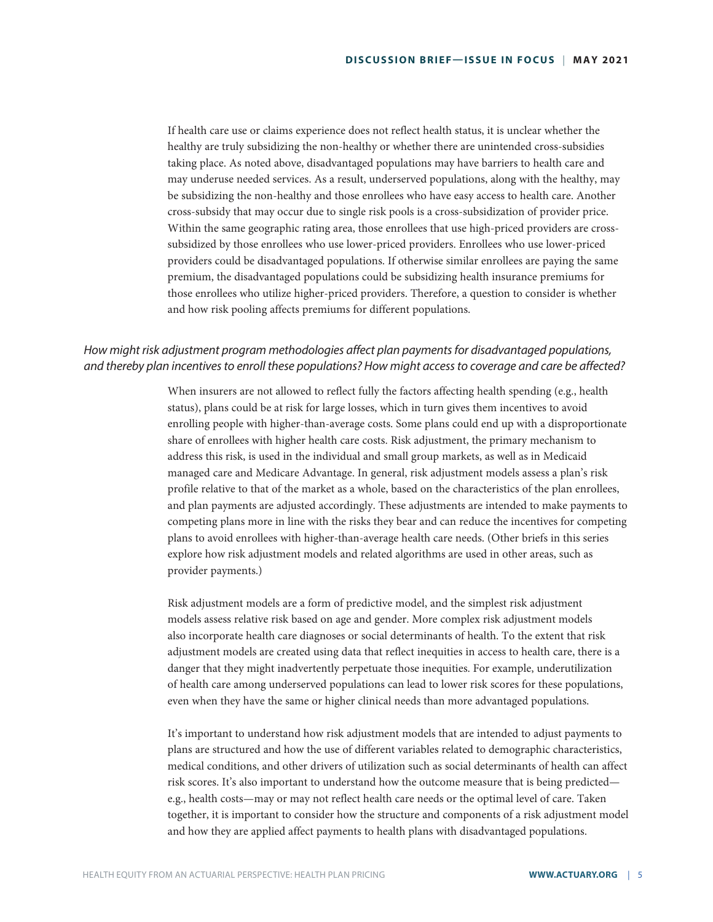If health care use or claims experience does not reflect health status, it is unclear whether the healthy are truly subsidizing the non-healthy or whether there are unintended cross-subsidies taking place. As noted above, disadvantaged populations may have barriers to health care and may underuse needed services. As a result, underserved populations, along with the healthy, may be subsidizing the non-healthy and those enrollees who have easy access to health care. Another cross-subsidy that may occur due to single risk pools is a cross-subsidization of provider price. Within the same geographic rating area, those enrollees that use high-priced providers are crosssubsidized by those enrollees who use lower-priced providers. Enrollees who use lower-priced providers could be disadvantaged populations. If otherwise similar enrollees are paying the same premium, the disadvantaged populations could be subsidizing health insurance premiums for those enrollees who utilize higher-priced providers. Therefore, a question to consider is whether and how risk pooling affects premiums for different populations.

#### *How might risk adjustment program methodologies affect plan payments for disadvantaged populations, and thereby plan incentives to enroll these populations? How might access to coverage and care be affected?*

When insurers are not allowed to reflect fully the factors affecting health spending (e.g., health status), plans could be at risk for large losses, which in turn gives them incentives to avoid enrolling people with higher-than-average costs. Some plans could end up with a disproportionate share of enrollees with higher health care costs. Risk adjustment, the primary mechanism to address this risk, is used in the individual and small group markets, as well as in Medicaid managed care and Medicare Advantage. In general, risk adjustment models assess a plan's risk profile relative to that of the market as a whole, based on the characteristics of the plan enrollees, and plan payments are adjusted accordingly. These adjustments are intended to make payments to competing plans more in line with the risks they bear and can reduce the incentives for competing plans to avoid enrollees with higher-than-average health care needs. (Other briefs in this series explore how risk adjustment models and related algorithms are used in other areas, such as provider payments.)

Risk adjustment models are a form of predictive model, and the simplest risk adjustment models assess relative risk based on age and gender. More complex risk adjustment models also incorporate health care diagnoses or social determinants of health. To the extent that risk adjustment models are created using data that reflect inequities in access to health care, there is a danger that they might inadvertently perpetuate those inequities. For example, underutilization of health care among underserved populations can lead to lower risk scores for these populations, even when they have the same or higher clinical needs than more advantaged populations.

It's important to understand how risk adjustment models that are intended to adjust payments to plans are structured and how the use of different variables related to demographic characteristics, medical conditions, and other drivers of utilization such as social determinants of health can affect risk scores. It's also important to understand how the outcome measure that is being predicted e.g., health costs—may or may not reflect health care needs or the optimal level of care. Taken together, it is important to consider how the structure and components of a risk adjustment model and how they are applied affect payments to health plans with disadvantaged populations.